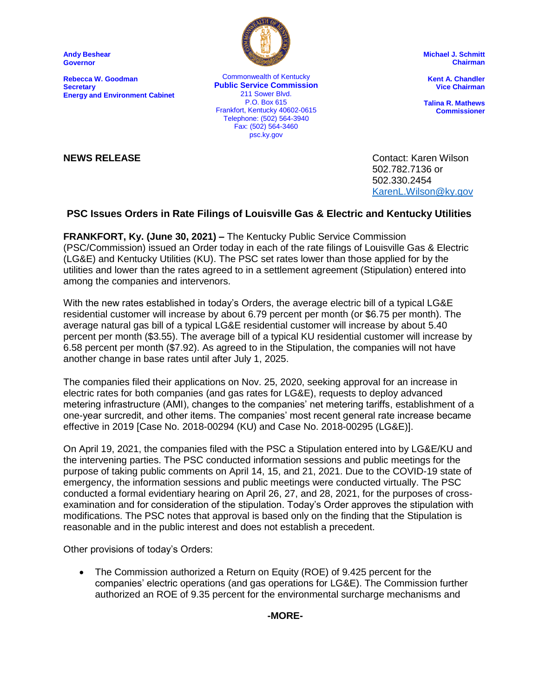**Andy Beshear Governor**

**Rebecca W. Goodman Secretary Energy and Environment Cabinet**



Commonwealth of Kentucky **Public Service Commission** 211 Sower Blvd. P.O. Box 615 Frankfort, Kentucky 40602-0615 Telephone: (502) 564-3940 Fax: (502) 564-3460 psc.ky.gov

**Michael J. Schmitt Chairman**

**Kent A. Chandler Vice Chairman**

**Talina R. Mathews Commissioner**

**NEWS RELEASE** Contact: Karen Wilson 502.782.7136 or 502.330.2454 [KarenL.Wilson@ky.gov](mailto:KarenL.Wilson@ky.gov)

## **PSC Issues Orders in Rate Filings of Louisville Gas & Electric and Kentucky Utilities**

**FRANKFORT, Ky. (June 30, 2021) –** The Kentucky Public Service Commission (PSC/Commission) issued an Order today in each of the rate filings of Louisville Gas & Electric (LG&E) and Kentucky Utilities (KU). The PSC set rates lower than those applied for by the utilities and lower than the rates agreed to in a settlement agreement (Stipulation) entered into among the companies and intervenors.

With the new rates established in today's Orders, the average electric bill of a typical LG&E residential customer will increase by about 6.79 percent per month (or \$6.75 per month). The average natural gas bill of a typical LG&E residential customer will increase by about 5.40 percent per month (\$3.55). The average bill of a typical KU residential customer will increase by 6.58 percent per month (\$7.92). As agreed to in the Stipulation, the companies will not have another change in base rates until after July 1, 2025.

The companies filed their applications on Nov. 25, 2020, seeking approval for an increase in electric rates for both companies (and gas rates for LG&E), requests to deploy advanced metering infrastructure (AMI), changes to the companies' net metering tariffs, establishment of a one-year surcredit, and other items. The companies' most recent general rate increase became effective in 2019 [Case No. 2018-00294 (KU) and Case No. 2018-00295 (LG&E)].

On April 19, 2021, the companies filed with the PSC a Stipulation entered into by LG&E/KU and the intervening parties. The PSC conducted information sessions and public meetings for the purpose of taking public comments on April 14, 15, and 21, 2021. Due to the COVID-19 state of emergency, the information sessions and public meetings were conducted virtually. The PSC conducted a formal evidentiary hearing on April 26, 27, and 28, 2021, for the purposes of crossexamination and for consideration of the stipulation. Today's Order approves the stipulation with modifications. The PSC notes that approval is based only on the finding that the Stipulation is reasonable and in the public interest and does not establish a precedent.

Other provisions of today's Orders:

 The Commission authorized a Return on Equity (ROE) of 9.425 percent for the companies' electric operations (and gas operations for LG&E). The Commission further authorized an ROE of 9.35 percent for the environmental surcharge mechanisms and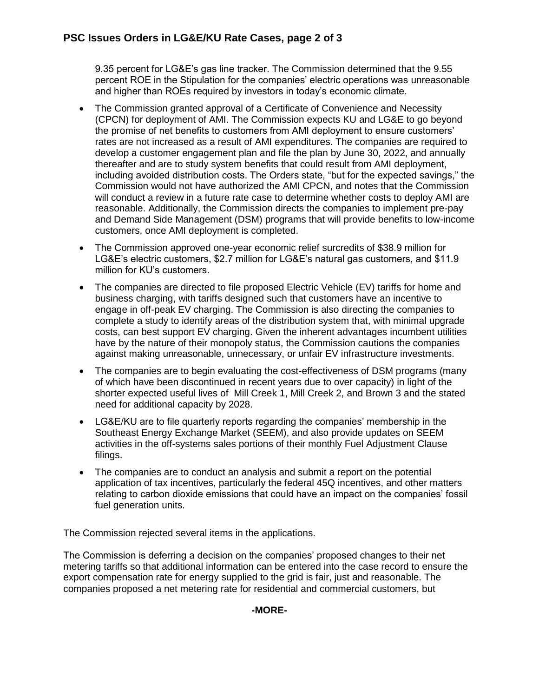9.35 percent for LG&E's gas line tracker. The Commission determined that the 9.55 percent ROE in the Stipulation for the companies' electric operations was unreasonable and higher than ROEs required by investors in today's economic climate.

- The Commission granted approval of a Certificate of Convenience and Necessity (CPCN) for deployment of AMI. The Commission expects KU and LG&E to go beyond the promise of net benefits to customers from AMI deployment to ensure customers' rates are not increased as a result of AMI expenditures. The companies are required to develop a customer engagement plan and file the plan by June 30, 2022, and annually thereafter and are to study system benefits that could result from AMI deployment, including avoided distribution costs. The Orders state, "but for the expected savings," the Commission would not have authorized the AMI CPCN, and notes that the Commission will conduct a review in a future rate case to determine whether costs to deploy AMI are reasonable. Additionally, the Commission directs the companies to implement pre-pay and Demand Side Management (DSM) programs that will provide benefits to low-income customers, once AMI deployment is completed.
- The Commission approved one-year economic relief surcredits of \$38.9 million for LG&E's electric customers, \$2.7 million for LG&E's natural gas customers, and \$11.9 million for KU's customers.
- The companies are directed to file proposed Electric Vehicle (EV) tariffs for home and business charging, with tariffs designed such that customers have an incentive to engage in off-peak EV charging. The Commission is also directing the companies to complete a study to identify areas of the distribution system that, with minimal upgrade costs, can best support EV charging. Given the inherent advantages incumbent utilities have by the nature of their monopoly status, the Commission cautions the companies against making unreasonable, unnecessary, or unfair EV infrastructure investments.
- The companies are to begin evaluating the cost-effectiveness of DSM programs (many of which have been discontinued in recent years due to over capacity) in light of the shorter expected useful lives of Mill Creek 1, Mill Creek 2, and Brown 3 and the stated need for additional capacity by 2028.
- LG&E/KU are to file quarterly reports regarding the companies' membership in the Southeast Energy Exchange Market (SEEM), and also provide updates on SEEM activities in the off-systems sales portions of their monthly Fuel Adjustment Clause filings.
- The companies are to conduct an analysis and submit a report on the potential application of tax incentives, particularly the federal 45Q incentives, and other matters relating to carbon dioxide emissions that could have an impact on the companies' fossil fuel generation units.

The Commission rejected several items in the applications.

The Commission is deferring a decision on the companies' proposed changes to their net metering tariffs so that additional information can be entered into the case record to ensure the export compensation rate for energy supplied to the grid is fair, just and reasonable. The companies proposed a net metering rate for residential and commercial customers, but